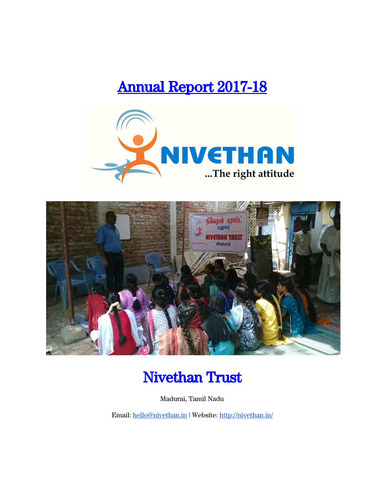# Annual Report 2017-18





# Nivethan Trust

Madurai, Tamil Nadu

Email: [hello@nivethan.in](mailto:hello@nivethan.in) | Website: <http://nivethan.in/>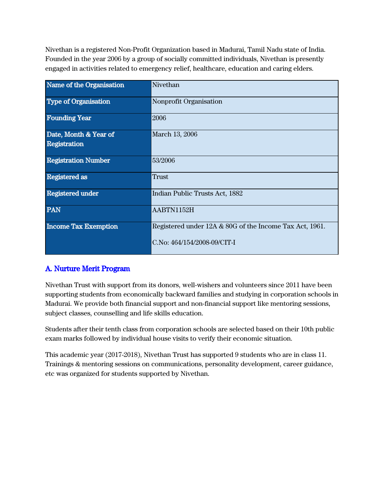Nivethan is a registered Non-Profit Organization based in Madurai, Tamil Nadu state of India. Founded in the year 2006 by a group of socially committed individuals, Nivethan is presently engaged in activities related to emergency relief, healthcare, education and caring elders.

| Name of the Organisation    | Nivethan                                                |
|-----------------------------|---------------------------------------------------------|
| <b>Type of Organisation</b> | Nonprofit Organisation                                  |
| <b>Founding Year</b>        | 2006                                                    |
| Date, Month & Year of       | March 13, 2006                                          |
| Registration                |                                                         |
| <b>Registration Number</b>  | 53/2006                                                 |
| <b>Registered</b> as        | <b>Trust</b>                                            |
| <b>Registered under</b>     | Indian Public Trusts Act, 1882                          |
| <b>PAN</b>                  | AABTN1152H                                              |
| <b>Income Tax Exemption</b> | Registered under 12A & 80G of the Income Tax Act, 1961. |
|                             | C.No: 464/154/2008-09/CIT-I                             |

## A. Nurture Merit Program

Nivethan Trust with support from its donors, well-wishers and volunteers since 2011 have been supporting students from economically backward families and studying in corporation schools in Madurai. We provide both financial support and non-financial support like mentoring sessions, subject classes, counselling and life skills education.

Students after their tenth class from corporation schools are selected based on their 10th public exam marks followed by individual house visits to verify their economic situation.

This academic year (2017-2018), Nivethan Trust has supported 9 students who are in class 11. Trainings & mentoring sessions on communications, personality development, career guidance, etc was organized for students supported by Nivethan.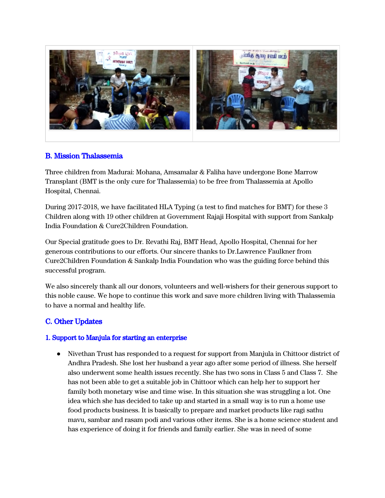

## B. Mission Thalassemia

Three children from Madurai: Mohana, Amsamalar & Faliha have undergone Bone Marrow Transplant (BMT is the only cure for Thalassemia) to be free from Thalassemia at Apollo Hospital, Chennai.

During 2017-2018, we have facilitated HLA Typing (a test to find matches for BMT) for these 3 Children along with 19 other children at Government Rajaji Hospital with support from Sankalp India Foundation & Cure2Children Foundation.

Our Special gratitude goes to Dr. Revathi Raj, BMT Head, Apollo Hospital, Chennai for her generous contributions to our efforts. Our sincere thanks to Dr.Lawrence Faulkner from Cure2Children Foundation & Sankalp India Foundation who was the guiding force behind this successful program.

We also sincerely thank all our donors, volunteers and well-wishers for their generous support to this noble cause. We hope to continue this work and save more children living with Thalassemia to have a normal and healthy life.

# C. Other Updates

#### 1. Support to Manjula for starting an enterprise

● Nivethan Trust has responded to a request for support from Manjula in Chittoor district of Andhra Pradesh. She lost her husband a year ago after some period of illness. She herself also underwent some health issues recently. She has two sons in Class 5 and Class 7. She has not been able to get a suitable job in Chittoor which can help her to support her family both monetary wise and time wise. In this situation she was struggling a lot. One idea which she has decided to take up and started in a small way is to run a home use food products business. It is basically to prepare and market products like ragi sathu mavu, sambar and rasam podi and various other items. She is a home science student and has experience of doing it for friends and family earlier. She was in need of some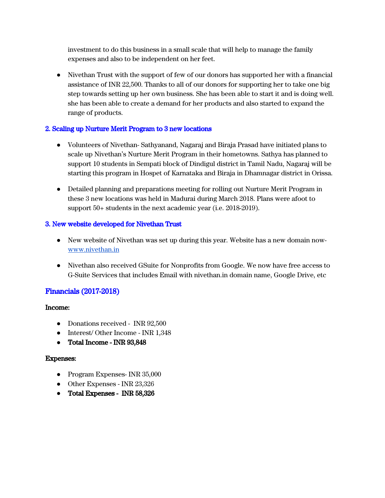investment to do this business in a small scale that will help to manage the family expenses and also to be independent on her feet.

● Nivethan Trust with the support of few of our donors has supported her with a financial assistance of INR 22,500. Thanks to all of our donors for supporting her to take one big step towards setting up her own business. She has been able to start it and is doing well. she has been able to create a demand for her products and also started to expand the range of products.

## 2. Scaling up Nurture Merit Program to 3 new locations

- Volunteers of Nivethan- Sathyanand, Nagaraj and Biraja Prasad have initiated plans to scale up Nivethan's Nurture Merit Program in their hometowns. Sathya has planned to support 10 students in Sempati block of Dindigul district in Tamil Nadu, Nagaraj will be starting this program in Hospet of Karnataka and Biraja in Dhamnagar district in Orissa.
- Detailed planning and preparations meeting for rolling out Nurture Merit Program in these 3 new locations was held in Madurai during March 2018. Plans were afoot to support 50+ students in the next academic year (i.e. 2018-2019).

## 3. New website developed for Nivethan Trust

- New website of Nivethan was set up during this year. Website has a new domain now[www.nivethan.in](http://www.nivethan.in/)
- Nivethan also received GSuite for Nonprofits from Google. We now have free access to G-Suite Services that includes Email with nivethan.in domain name, Google Drive, etc

# Financials (2017-2018)

## Income:

- Donations received INR 92,500
- Interest/ Other Income INR 1,348
- **●** Total Income INR 93,848

## Expenses:

- Program Expenses- INR 35,000
- Other Expenses INR 23,326
- **●** Total Expenses INR 58,326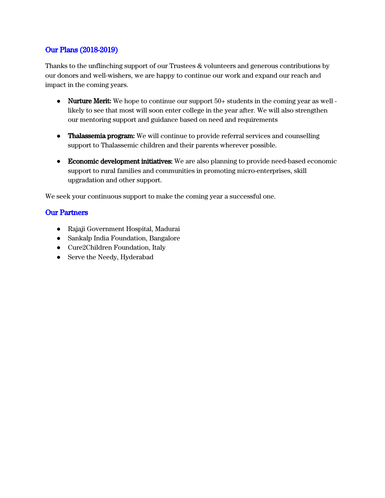## Our Plans (2018-2019)

Thanks to the unflinching support of our Trustees & volunteers and generous contributions by our donors and well-wishers, we are happy to continue our work and expand our reach and impact in the coming years.

- Nurture Merit: We hope to continue our support  $50+$  students in the coming year as well likely to see that most will soon enter college in the year after. We will also strengthen our mentoring support and guidance based on need and requirements
- **●** Thalassemia program: We will continue to provide referral services and counselling support to Thalassemic children and their parents wherever possible.
- Economic development initiatives: We are also planning to provide need-based economic support to rural families and communities in promoting micro-enterprises, skill upgradation and other support.

We seek your continuous support to make the coming year a successful one.

## Our Partners

- Rajaji Government Hospital, Madurai
- Sankalp India Foundation, Bangalore
- Cure2Children Foundation, Italy
- Serve the Needy, Hyderabad